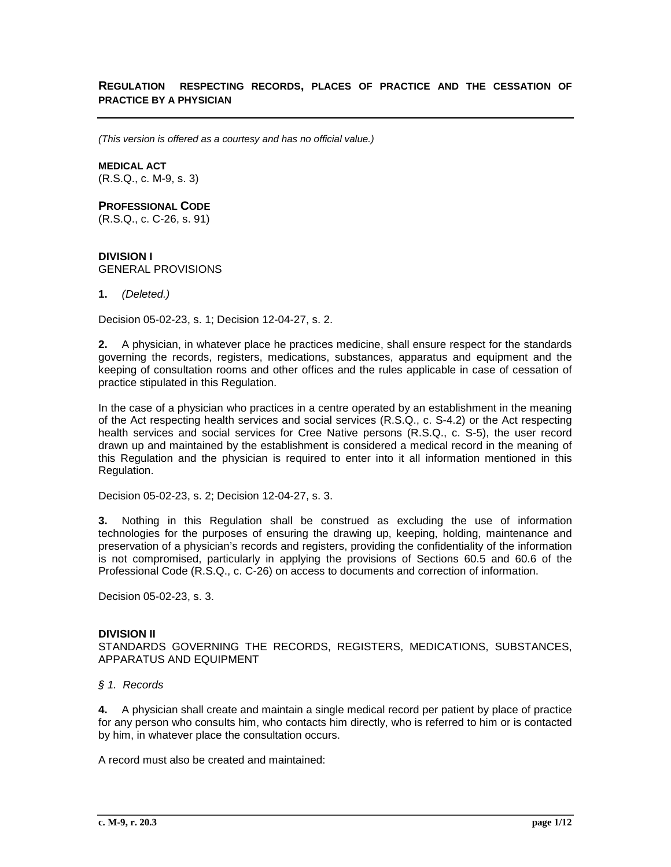## **REGULATION RESPECTING RECORDS, PLACES OF PRACTICE AND THE CESSATION OF PRACTICE BY A PHYSICIAN**

*(This version is offered as a courtesy and has no official value.)*

## **MEDICAL ACT**

(R.S.Q., c. M-9, s. 3)

# **PROFESSIONAL CODE**

(R.S.Q., c. C-26, s. 91)

## **DIVISION I** GENERAL PROVISIONS

**1.** *(Deleted.)*

Decision 05-02-23, s. 1; Decision 12-04-27, s. 2.

**2.** A physician, in whatever place he practices medicine, shall ensure respect for the standards governing the records, registers, medications, substances, apparatus and equipment and the keeping of consultation rooms and other offices and the rules applicable in case of cessation of practice stipulated in this Regulation.

In the case of a physician who practices in a centre operated by an establishment in the meaning of the Act respecting health services and social services (R.S.Q., c. S-4.2) or the Act respecting health services and social services for Cree Native persons (R.S.Q., c. S-5), the user record drawn up and maintained by the establishment is considered a medical record in the meaning of this Regulation and the physician is required to enter into it all information mentioned in this Regulation.

Decision 05-02-23, s. 2; Decision 12-04-27, s. 3.

**3.** Nothing in this Regulation shall be construed as excluding the use of information technologies for the purposes of ensuring the drawing up, keeping, holding, maintenance and preservation of a physician's records and registers, providing the confidentiality of the information is not compromised, particularly in applying the provisions of Sections 60.5 and 60.6 of the Professional Code (R.S.Q., c. C-26) on access to documents and correction of information.

Decision 05-02-23, s. 3.

## **DIVISION II**

STANDARDS GOVERNING THE RECORDS, REGISTERS, MEDICATIONS, SUBSTANCES, APPARATUS AND EQUIPMENT

*§ 1. Records*

**4.** A physician shall create and maintain a single medical record per patient by place of practice for any person who consults him, who contacts him directly, who is referred to him or is contacted by him, in whatever place the consultation occurs.

A record must also be created and maintained: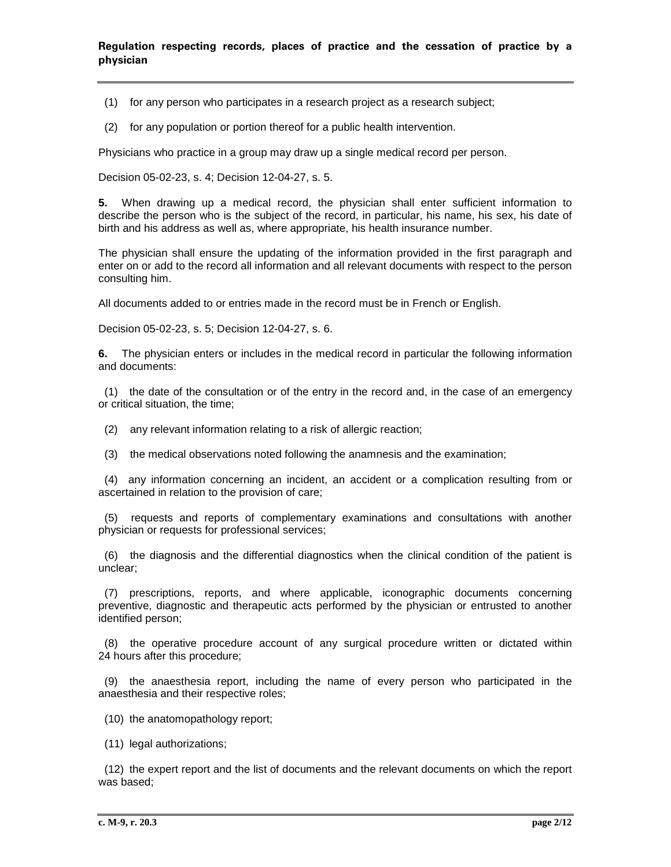(1) for any person who participates in a research project as a research subject;

(2) for any population or portion thereof for a public health intervention.

Physicians who practice in a group may draw up a single medical record per person.

Decision 05-02-23, s. 4; Decision 12-04-27, s. 5.

**5.** When drawing up a medical record, the physician shall enter sufficient information to describe the person who is the subject of the record, in particular, his name, his sex, his date of birth and his address as well as, where appropriate, his health insurance number.

The physician shall ensure the updating of the information provided in the first paragraph and enter on or add to the record all information and all relevant documents with respect to the person consulting him.

All documents added to or entries made in the record must be in French or English.

Decision 05-02-23, s. 5; Decision 12-04-27, s. 6.

**6.** The physician enters or includes in the medical record in particular the following information and documents:

 (1) the date of the consultation or of the entry in the record and, in the case of an emergency or critical situation, the time;

(2) any relevant information relating to a risk of allergic reaction;

(3) the medical observations noted following the anamnesis and the examination;

 (4) any information concerning an incident, an accident or a complication resulting from or ascertained in relation to the provision of care;

 (5) requests and reports of complementary examinations and consultations with another physician or requests for professional services;

 (6) the diagnosis and the differential diagnostics when the clinical condition of the patient is unclear;

 (7) prescriptions, reports, and where applicable, iconographic documents concerning preventive, diagnostic and therapeutic acts performed by the physician or entrusted to another identified person;

 (8) the operative procedure account of any surgical procedure written or dictated within 24 hours after this procedure;

 (9) the anaesthesia report, including the name of every person who participated in the anaesthesia and their respective roles;

(10) the anatomopathology report;

(11) legal authorizations;

 (12) the expert report and the list of documents and the relevant documents on which the report was based;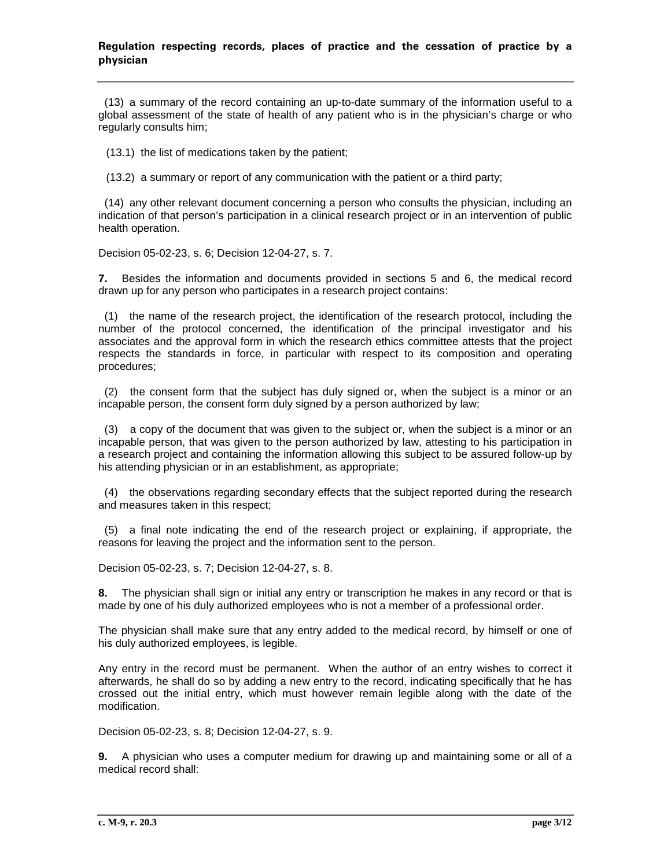(13) a summary of the record containing an up-to-date summary of the information useful to a global assessment of the state of health of any patient who is in the physician's charge or who regularly consults him;

(13.1) the list of medications taken by the patient;

(13.2) a summary or report of any communication with the patient or a third party;

 (14) any other relevant document concerning a person who consults the physician, including an indication of that person's participation in a clinical research project or in an intervention of public health operation.

Decision 05-02-23, s. 6; Decision 12-04-27, s. 7.

**7.** Besides the information and documents provided in sections 5 and 6, the medical record drawn up for any person who participates in a research project contains:

 (1) the name of the research project, the identification of the research protocol, including the number of the protocol concerned, the identification of the principal investigator and his associates and the approval form in which the research ethics committee attests that the project respects the standards in force, in particular with respect to its composition and operating procedures;

 (2) the consent form that the subject has duly signed or, when the subject is a minor or an incapable person, the consent form duly signed by a person authorized by law;

 (3) a copy of the document that was given to the subject or, when the subject is a minor or an incapable person, that was given to the person authorized by law, attesting to his participation in a research project and containing the information allowing this subject to be assured follow-up by his attending physician or in an establishment, as appropriate;

 (4) the observations regarding secondary effects that the subject reported during the research and measures taken in this respect;

 (5) a final note indicating the end of the research project or explaining, if appropriate, the reasons for leaving the project and the information sent to the person.

Decision 05-02-23, s. 7; Decision 12-04-27, s. 8.

**8.** The physician shall sign or initial any entry or transcription he makes in any record or that is made by one of his duly authorized employees who is not a member of a professional order.

The physician shall make sure that any entry added to the medical record, by himself or one of his duly authorized employees, is legible.

Any entry in the record must be permanent. When the author of an entry wishes to correct it afterwards, he shall do so by adding a new entry to the record, indicating specifically that he has crossed out the initial entry, which must however remain legible along with the date of the modification.

Decision 05-02-23, s. 8; Decision 12-04-27, s. 9.

**9.** A physician who uses a computer medium for drawing up and maintaining some or all of a medical record shall: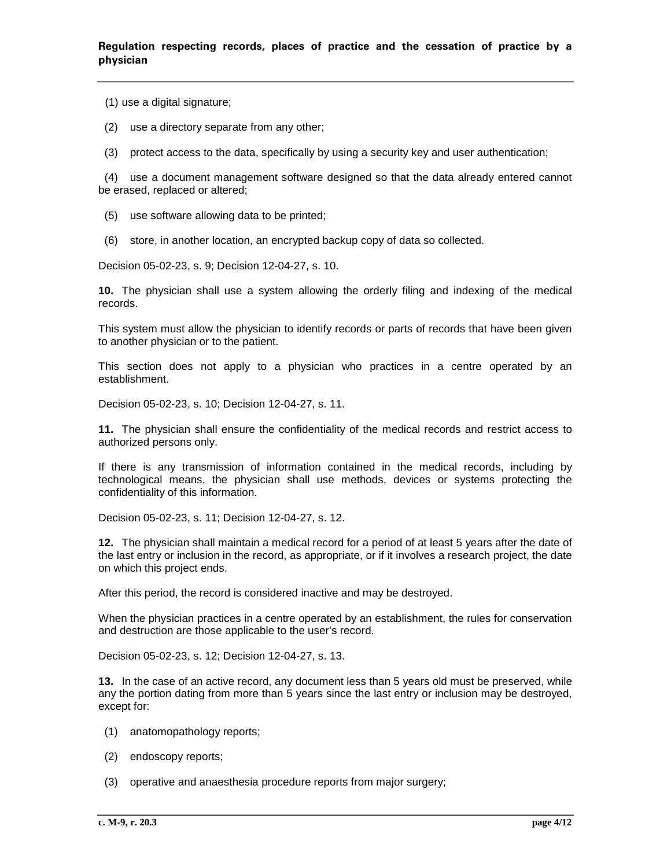(1) use a digital signature;

- (2) use a directory separate from any other;
- (3) protect access to the data, specifically by using a security key and user authentication;

 (4) use a document management software designed so that the data already entered cannot be erased, replaced or altered;

- (5) use software allowing data to be printed;
- (6) store, in another location, an encrypted backup copy of data so collected.

Decision 05-02-23, s. 9; Decision 12-04-27, s. 10.

**10.** The physician shall use a system allowing the orderly filing and indexing of the medical records.

This system must allow the physician to identify records or parts of records that have been given to another physician or to the patient.

This section does not apply to a physician who practices in a centre operated by an establishment.

Decision 05-02-23, s. 10; Decision 12-04-27, s. 11.

**11.** The physician shall ensure the confidentiality of the medical records and restrict access to authorized persons only.

If there is any transmission of information contained in the medical records, including by technological means, the physician shall use methods, devices or systems protecting the confidentiality of this information.

Decision 05-02-23, s. 11; Decision 12-04-27, s. 12.

**12.** The physician shall maintain a medical record for a period of at least 5 years after the date of the last entry or inclusion in the record, as appropriate, or if it involves a research project, the date on which this project ends.

After this period, the record is considered inactive and may be destroyed.

When the physician practices in a centre operated by an establishment, the rules for conservation and destruction are those applicable to the user's record.

Decision 05-02-23, s. 12; Decision 12-04-27, s. 13.

**13.** In the case of an active record, any document less than 5 years old must be preserved, while any the portion dating from more than 5 years since the last entry or inclusion may be destroyed, except for:

- (1) anatomopathology reports;
- (2) endoscopy reports;
- (3) operative and anaesthesia procedure reports from major surgery;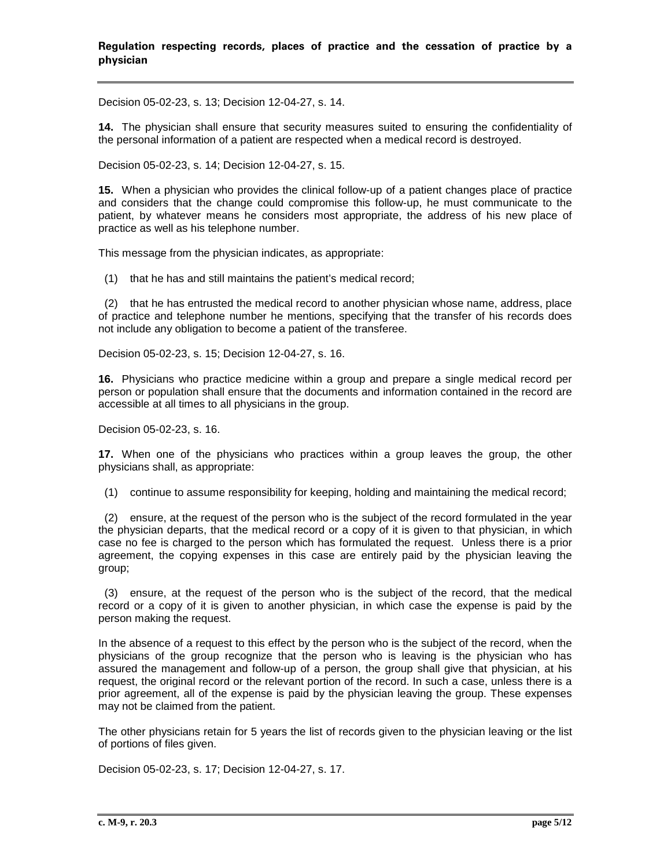Decision 05-02-23, s. 13; Decision 12-04-27, s. 14.

**14.** The physician shall ensure that security measures suited to ensuring the confidentiality of the personal information of a patient are respected when a medical record is destroyed.

Decision 05-02-23, s. 14; Decision 12-04-27, s. 15.

**15.** When a physician who provides the clinical follow-up of a patient changes place of practice and considers that the change could compromise this follow-up, he must communicate to the patient, by whatever means he considers most appropriate, the address of his new place of practice as well as his telephone number.

This message from the physician indicates, as appropriate:

(1) that he has and still maintains the patient's medical record;

 (2) that he has entrusted the medical record to another physician whose name, address, place of practice and telephone number he mentions, specifying that the transfer of his records does not include any obligation to become a patient of the transferee.

Decision 05-02-23, s. 15; Decision 12-04-27, s. 16.

**16.** Physicians who practice medicine within a group and prepare a single medical record per person or population shall ensure that the documents and information contained in the record are accessible at all times to all physicians in the group.

Decision 05-02-23, s. 16.

**17.** When one of the physicians who practices within a group leaves the group, the other physicians shall, as appropriate:

(1) continue to assume responsibility for keeping, holding and maintaining the medical record;

 (2) ensure, at the request of the person who is the subject of the record formulated in the year the physician departs, that the medical record or a copy of it is given to that physician, in which case no fee is charged to the person which has formulated the request. Unless there is a prior agreement, the copying expenses in this case are entirely paid by the physician leaving the group;

 (3) ensure, at the request of the person who is the subject of the record, that the medical record or a copy of it is given to another physician, in which case the expense is paid by the person making the request.

In the absence of a request to this effect by the person who is the subject of the record, when the physicians of the group recognize that the person who is leaving is the physician who has assured the management and follow-up of a person, the group shall give that physician, at his request, the original record or the relevant portion of the record. In such a case, unless there is a prior agreement, all of the expense is paid by the physician leaving the group. These expenses may not be claimed from the patient.

The other physicians retain for 5 years the list of records given to the physician leaving or the list of portions of files given.

Decision 05-02-23, s. 17; Decision 12-04-27, s. 17.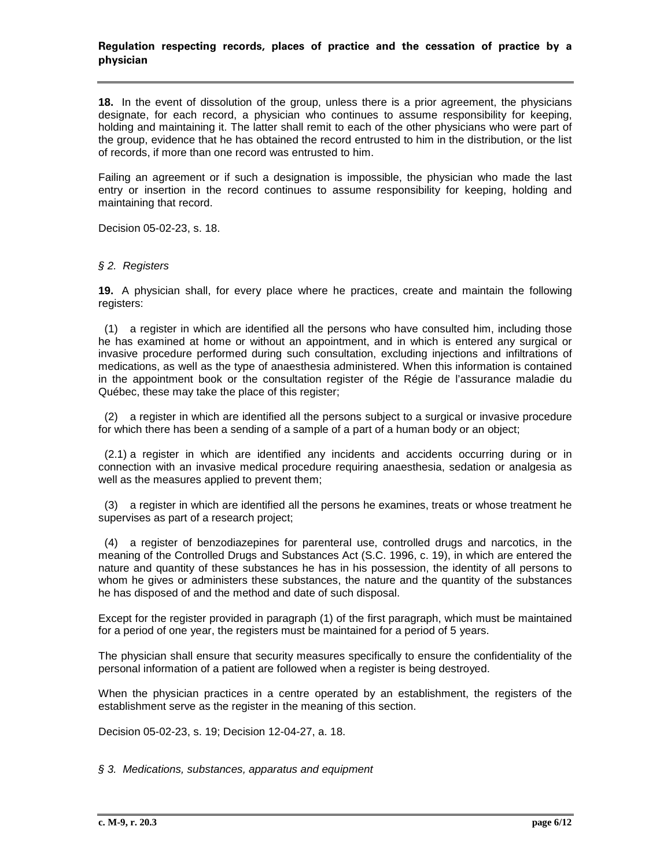**18.** In the event of dissolution of the group, unless there is a prior agreement, the physicians designate, for each record, a physician who continues to assume responsibility for keeping, holding and maintaining it. The latter shall remit to each of the other physicians who were part of the group, evidence that he has obtained the record entrusted to him in the distribution, or the list of records, if more than one record was entrusted to him.

Failing an agreement or if such a designation is impossible, the physician who made the last entry or insertion in the record continues to assume responsibility for keeping, holding and maintaining that record.

Decision 05-02-23, s. 18.

#### *§ 2. Registers*

**19.** A physician shall, for every place where he practices, create and maintain the following registers:

 (1) a register in which are identified all the persons who have consulted him, including those he has examined at home or without an appointment, and in which is entered any surgical or invasive procedure performed during such consultation, excluding injections and infiltrations of medications, as well as the type of anaesthesia administered. When this information is contained in the appointment book or the consultation register of the Régie de l'assurance maladie du Québec, these may take the place of this register;

 (2) a register in which are identified all the persons subject to a surgical or invasive procedure for which there has been a sending of a sample of a part of a human body or an object;

 (2.1) a register in which are identified any incidents and accidents occurring during or in connection with an invasive medical procedure requiring anaesthesia, sedation or analgesia as well as the measures applied to prevent them;

 (3) a register in which are identified all the persons he examines, treats or whose treatment he supervises as part of a research project;

 (4) a register of benzodiazepines for parenteral use, controlled drugs and narcotics, in the meaning of the Controlled Drugs and Substances Act (S.C. 1996, c. 19), in which are entered the nature and quantity of these substances he has in his possession, the identity of all persons to whom he gives or administers these substances, the nature and the quantity of the substances he has disposed of and the method and date of such disposal.

Except for the register provided in paragraph (1) of the first paragraph, which must be maintained for a period of one year, the registers must be maintained for a period of 5 years.

The physician shall ensure that security measures specifically to ensure the confidentiality of the personal information of a patient are followed when a register is being destroyed.

When the physician practices in a centre operated by an establishment, the registers of the establishment serve as the register in the meaning of this section.

Decision 05-02-23, s. 19; Decision 12-04-27, a. 18.

*§ 3. Medications, substances, apparatus and equipment*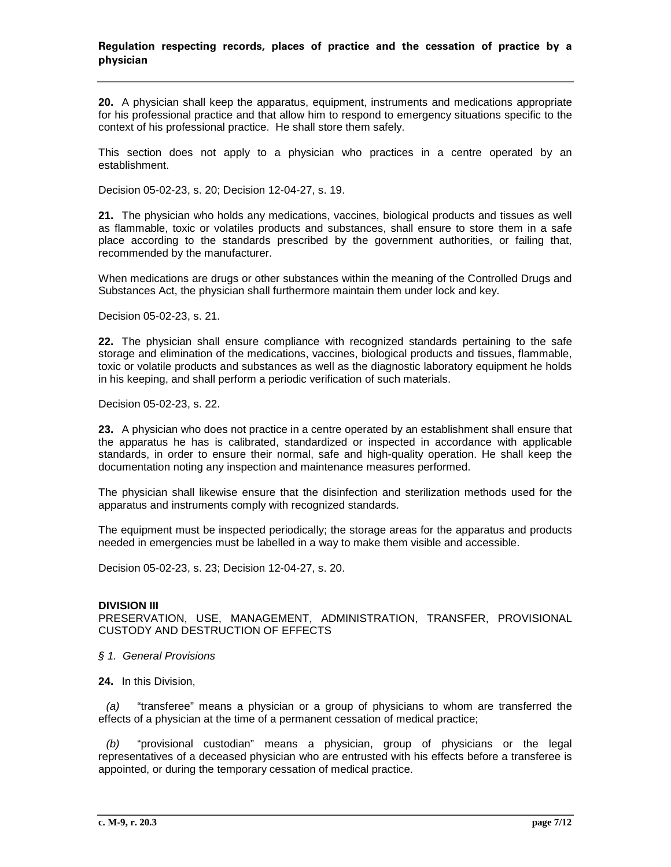**20.** A physician shall keep the apparatus, equipment, instruments and medications appropriate for his professional practice and that allow him to respond to emergency situations specific to the context of his professional practice. He shall store them safely.

This section does not apply to a physician who practices in a centre operated by an establishment.

Decision 05-02-23, s. 20; Decision 12-04-27, s. 19.

**21.** The physician who holds any medications, vaccines, biological products and tissues as well as flammable, toxic or volatiles products and substances, shall ensure to store them in a safe place according to the standards prescribed by the government authorities, or failing that, recommended by the manufacturer.

When medications are drugs or other substances within the meaning of the Controlled Drugs and Substances Act, the physician shall furthermore maintain them under lock and key.

Decision 05-02-23, s. 21.

**22.** The physician shall ensure compliance with recognized standards pertaining to the safe storage and elimination of the medications, vaccines, biological products and tissues, flammable, toxic or volatile products and substances as well as the diagnostic laboratory equipment he holds in his keeping, and shall perform a periodic verification of such materials.

Decision 05-02-23, s. 22.

**23.** A physician who does not practice in a centre operated by an establishment shall ensure that the apparatus he has is calibrated, standardized or inspected in accordance with applicable standards, in order to ensure their normal, safe and high-quality operation. He shall keep the documentation noting any inspection and maintenance measures performed.

The physician shall likewise ensure that the disinfection and sterilization methods used for the apparatus and instruments comply with recognized standards.

The equipment must be inspected periodically; the storage areas for the apparatus and products needed in emergencies must be labelled in a way to make them visible and accessible.

Decision 05-02-23, s. 23; Decision 12-04-27, s. 20.

#### **DIVISION III**

PRESERVATION, USE, MANAGEMENT, ADMINISTRATION, TRANSFER, PROVISIONAL CUSTODY AND DESTRUCTION OF EFFECTS

- *§ 1. General Provisions*
- **24.** In this Division,

*(a)* "transferee" means a physician or a group of physicians to whom are transferred the effects of a physician at the time of a permanent cessation of medical practice;

*(b)* "provisional custodian" means a physician, group of physicians or the legal representatives of a deceased physician who are entrusted with his effects before a transferee is appointed, or during the temporary cessation of medical practice.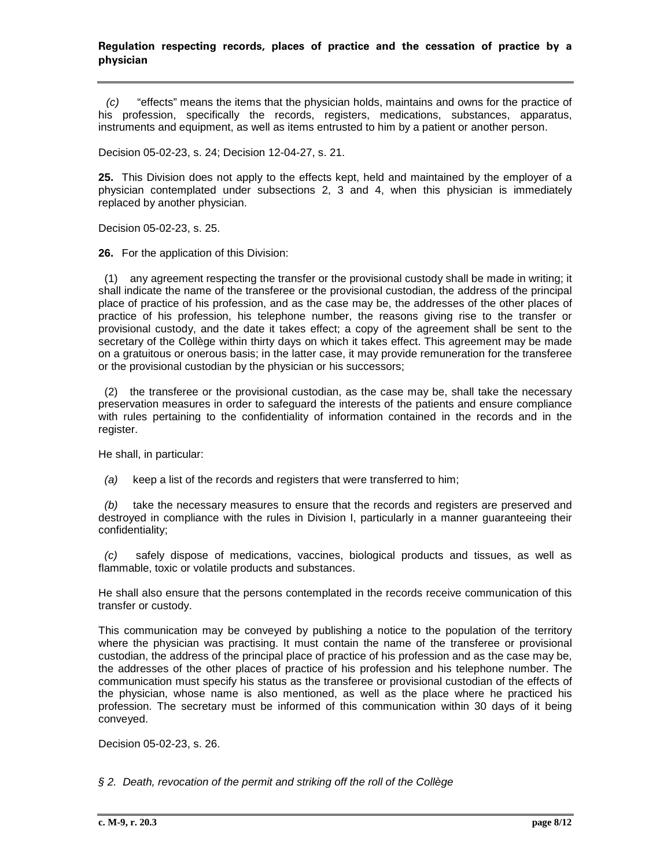*(c)* "effects" means the items that the physician holds, maintains and owns for the practice of his profession, specifically the records, registers, medications, substances, apparatus, instruments and equipment, as well as items entrusted to him by a patient or another person.

Decision 05-02-23, s. 24; Decision 12-04-27, s. 21.

**25.** This Division does not apply to the effects kept, held and maintained by the employer of a physician contemplated under subsections 2, 3 and 4, when this physician is immediately replaced by another physician.

Decision 05-02-23, s. 25.

**26.** For the application of this Division:

(1) any agreement respecting the transfer or the provisional custody shall be made in writing; it shall indicate the name of the transferee or the provisional custodian, the address of the principal place of practice of his profession, and as the case may be, the addresses of the other places of practice of his profession, his telephone number, the reasons giving rise to the transfer or provisional custody, and the date it takes effect; a copy of the agreement shall be sent to the secretary of the Collège within thirty days on which it takes effect. This agreement may be made on a gratuitous or onerous basis; in the latter case, it may provide remuneration for the transferee or the provisional custodian by the physician or his successors;

 (2) the transferee or the provisional custodian, as the case may be, shall take the necessary preservation measures in order to safeguard the interests of the patients and ensure compliance with rules pertaining to the confidentiality of information contained in the records and in the register.

He shall, in particular:

 *(a)* keep a list of the records and registers that were transferred to him;

 *(b)* take the necessary measures to ensure that the records and registers are preserved and destroyed in compliance with the rules in Division I, particularly in a manner guaranteeing their confidentiality;

 *(c)* safely dispose of medications, vaccines, biological products and tissues, as well as flammable, toxic or volatile products and substances.

He shall also ensure that the persons contemplated in the records receive communication of this transfer or custody.

This communication may be conveyed by publishing a notice to the population of the territory where the physician was practising. It must contain the name of the transferee or provisional custodian, the address of the principal place of practice of his profession and as the case may be, the addresses of the other places of practice of his profession and his telephone number. The communication must specify his status as the transferee or provisional custodian of the effects of the physician, whose name is also mentioned, as well as the place where he practiced his profession. The secretary must be informed of this communication within 30 days of it being conveyed.

Decision 05-02-23, s. 26.

*§ 2. Death, revocation of the permit and striking off the roll of the Collège*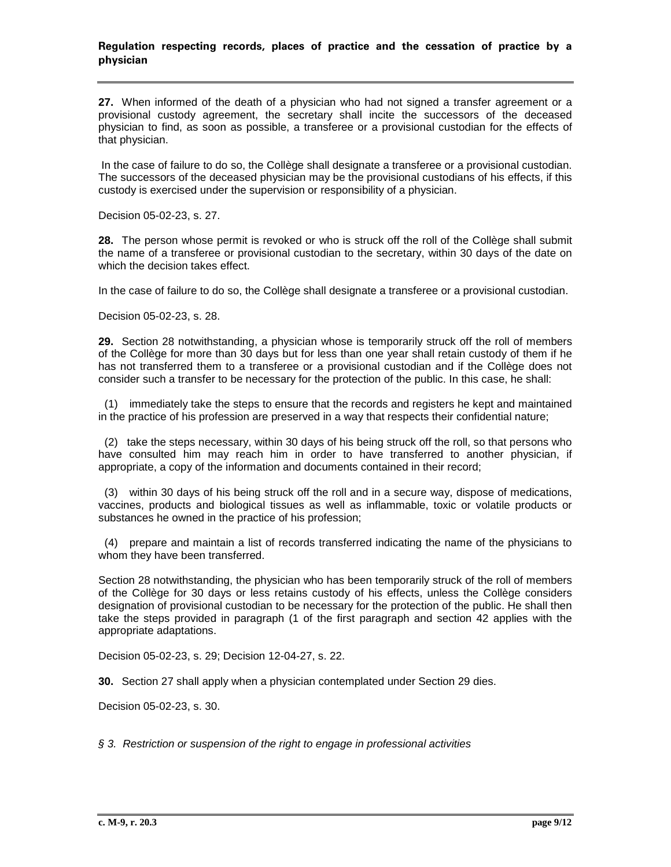**27.** When informed of the death of a physician who had not signed a transfer agreement or a provisional custody agreement, the secretary shall incite the successors of the deceased physician to find, as soon as possible, a transferee or a provisional custodian for the effects of that physician.

In the case of failure to do so, the Collège shall designate a transferee or a provisional custodian. The successors of the deceased physician may be the provisional custodians of his effects, if this custody is exercised under the supervision or responsibility of a physician.

Decision 05-02-23, s. 27.

**28.** The person whose permit is revoked or who is struck off the roll of the Collège shall submit the name of a transferee or provisional custodian to the secretary, within 30 days of the date on which the decision takes effect.

In the case of failure to do so, the Collège shall designate a transferee or a provisional custodian.

Decision 05-02-23, s. 28.

**29.** Section 28 notwithstanding, a physician whose is temporarily struck off the roll of members of the Collège for more than 30 days but for less than one year shall retain custody of them if he has not transferred them to a transferee or a provisional custodian and if the Collège does not consider such a transfer to be necessary for the protection of the public. In this case, he shall:

 (1) immediately take the steps to ensure that the records and registers he kept and maintained in the practice of his profession are preserved in a way that respects their confidential nature;

 (2) take the steps necessary, within 30 days of his being struck off the roll, so that persons who have consulted him may reach him in order to have transferred to another physician, if appropriate, a copy of the information and documents contained in their record;

 (3) within 30 days of his being struck off the roll and in a secure way, dispose of medications, vaccines, products and biological tissues as well as inflammable, toxic or volatile products or substances he owned in the practice of his profession;

 (4) prepare and maintain a list of records transferred indicating the name of the physicians to whom they have been transferred.

Section 28 notwithstanding, the physician who has been temporarily struck of the roll of members of the Collège for 30 days or less retains custody of his effects, unless the Collège considers designation of provisional custodian to be necessary for the protection of the public. He shall then take the steps provided in paragraph (1 of the first paragraph and section 42 applies with the appropriate adaptations.

Decision 05-02-23, s. 29; Decision 12-04-27, s. 22.

**30.** Section 27 shall apply when a physician contemplated under Section 29 dies.

Decision 05-02-23, s. 30.

*§ 3. Restriction or suspension of the right to engage in professional activities*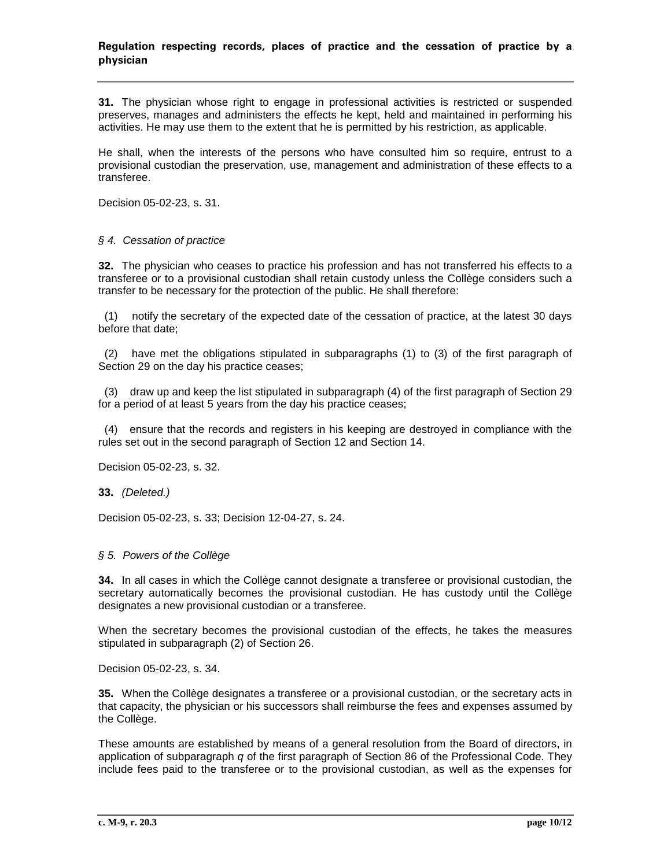**31.** The physician whose right to engage in professional activities is restricted or suspended preserves, manages and administers the effects he kept, held and maintained in performing his activities. He may use them to the extent that he is permitted by his restriction, as applicable.

He shall, when the interests of the persons who have consulted him so require, entrust to a provisional custodian the preservation, use, management and administration of these effects to a transferee.

Decision 05-02-23, s. 31.

#### *§ 4. Cessation of practice*

**32.** The physician who ceases to practice his profession and has not transferred his effects to a transferee or to a provisional custodian shall retain custody unless the Collège considers such a transfer to be necessary for the protection of the public. He shall therefore:

(1) notify the secretary of the expected date of the cessation of practice, at the latest 30 days before that date;

 (2) have met the obligations stipulated in subparagraphs (1) to (3) of the first paragraph of Section 29 on the day his practice ceases;

 (3) draw up and keep the list stipulated in subparagraph (4) of the first paragraph of Section 29 for a period of at least 5 years from the day his practice ceases;

 (4) ensure that the records and registers in his keeping are destroyed in compliance with the rules set out in the second paragraph of Section 12 and Section 14.

Decision 05-02-23, s. 32.

**33.** *(Deleted.)*

Decision 05-02-23, s. 33; Decision 12-04-27, s. 24.

#### *§ 5. Powers of the Collège*

**34.** In all cases in which the Collège cannot designate a transferee or provisional custodian, the secretary automatically becomes the provisional custodian. He has custody until the Collège designates a new provisional custodian or a transferee.

When the secretary becomes the provisional custodian of the effects, he takes the measures stipulated in subparagraph (2) of Section 26.

Decision 05-02-23, s. 34.

**35.** When the Collège designates a transferee or a provisional custodian, or the secretary acts in that capacity, the physician or his successors shall reimburse the fees and expenses assumed by the Collège.

These amounts are established by means of a general resolution from the Board of directors, in application of subparagraph *q* of the first paragraph of Section 86 of the Professional Code. They include fees paid to the transferee or to the provisional custodian, as well as the expenses for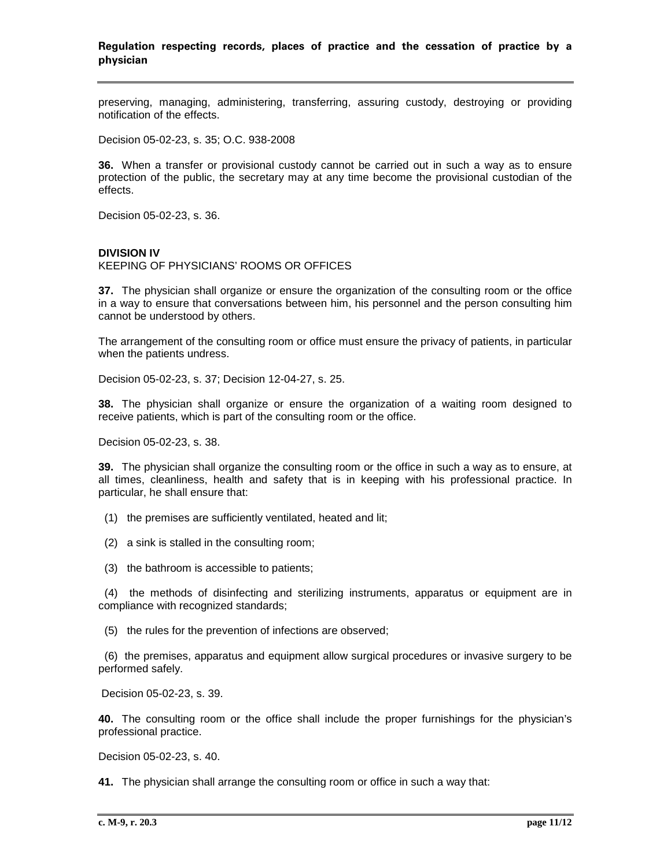preserving, managing, administering, transferring, assuring custody, destroying or providing notification of the effects.

Decision 05-02-23, s. 35; O.C. 938-2008

**36.** When a transfer or provisional custody cannot be carried out in such a way as to ensure protection of the public, the secretary may at any time become the provisional custodian of the effects.

Decision 05-02-23, s. 36.

## **DIVISION IV**

KEEPING OF PHYSICIANS' ROOMS OR OFFICES

**37.** The physician shall organize or ensure the organization of the consulting room or the office in a way to ensure that conversations between him, his personnel and the person consulting him cannot be understood by others.

The arrangement of the consulting room or office must ensure the privacy of patients, in particular when the patients undress.

Decision 05-02-23, s. 37; Decision 12-04-27, s. 25.

**38.** The physician shall organize or ensure the organization of a waiting room designed to receive patients, which is part of the consulting room or the office.

Decision 05-02-23, s. 38.

**39.** The physician shall organize the consulting room or the office in such a way as to ensure, at all times, cleanliness, health and safety that is in keeping with his professional practice. In particular, he shall ensure that:

- (1) the premises are sufficiently ventilated, heated and lit;
- (2) a sink is stalled in the consulting room;
- (3) the bathroom is accessible to patients;

 (4) the methods of disinfecting and sterilizing instruments, apparatus or equipment are in compliance with recognized standards;

(5) the rules for the prevention of infections are observed;

 (6) the premises, apparatus and equipment allow surgical procedures or invasive surgery to be performed safely.

Decision 05-02-23, s. 39.

**40.** The consulting room or the office shall include the proper furnishings for the physician's professional practice.

Decision 05-02-23, s. 40.

**41.** The physician shall arrange the consulting room or office in such a way that: